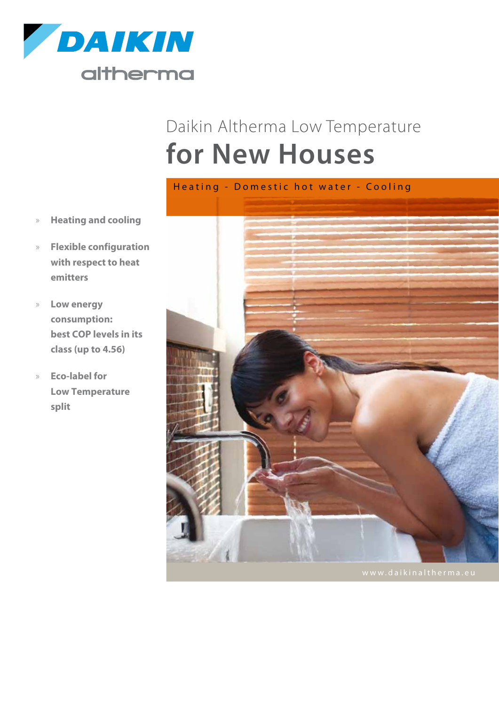

# Daikin Altherma Low Temperature **for New Houses**



- » **Heating and cooling**
- » **Flexible configuration with respect to heat emitters**
- » **Low energy consumption: best COP levels in its class (up to 4.56)**
- » **Eco-label for Low Temperature split**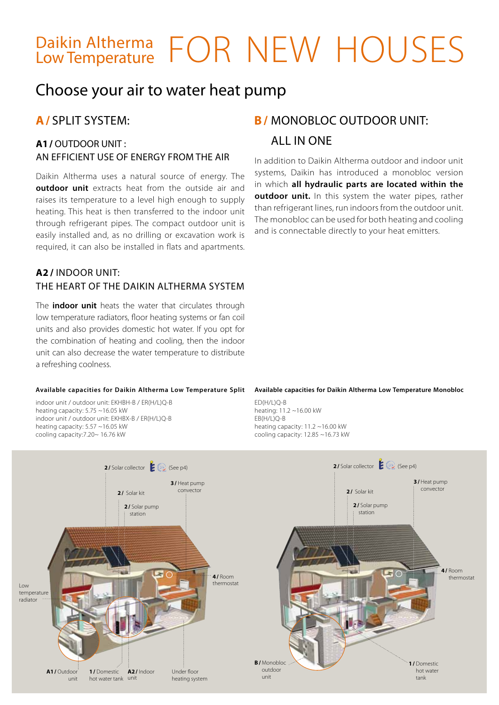## Daikin Altherma FOR NEW HOUSES Low Temperature

### Choose your air to water heat pump

#### **A1/** OUTDOOR UNIT : an efficient use of energy from the air

Daikin Altherma uses a natural source of energy. The **outdoor unit** extracts heat from the outside air and raises its temperature to a level high enough to supply heating. This heat is then transferred to the indoor unit through refrigerant pipes. The compact outdoor unit is easily installed and, as no drilling or excavation work is required, it can also be installed in flats and apartments.

#### **A2 /** Indoor unit: the heart of the Daikin Altherma system

The **indoor unit** heats the water that circulates through low temperature radiators, floor heating systems or fan coil units and also provides domestic hot water. If you opt for the combination of heating and cooling, then the indoor unit can also decrease the water temperature to distribute a refreshing coolness.

#### **Available capacities for Daikin Altherma Low Temperature Split**

indoor unit / outdoor unit: EKHBH-B / ER(H/L)Q-B heating capacity: 5.75 ~16.05 kW indoor unit / outdoor unit: EKHBX-B / ER(H/L)Q-B heating capacity: 5.57 ~16.05 kW cooling capacity:7.20~ 16.76 kW

### **A/** SPLIT system: **B/** Monobloc outdoor unit: all in one

In addition to Daikin Altherma outdoor and indoor unit systems, Daikin has introduced a monobloc version in which **all hydraulic parts are located within the outdoor unit.** In this system the water pipes, rather than refrigerant lines, run indoors from the outdoor unit. The monobloc can be used for both heating and cooling and is connectable directly to your heat emitters.

#### **Available capacities for Daikin Altherma Low Temperature Monobloc**

ED(H/L)Q-B heating: 11.2 ~16.00 kW EB(H/L)Q-B heating capacity: 11.2 ~16.00 kW cooling capacity: 12.85 ~16.73 kW

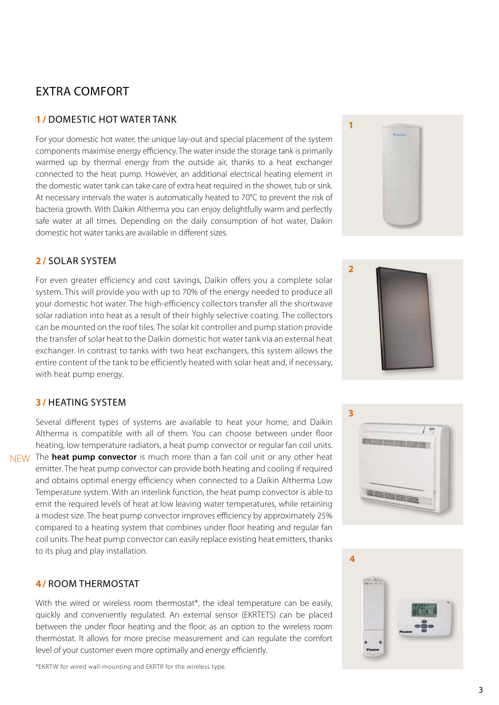### EXTRA COMFORT

#### **1 /** Domestic hot water tank

For your domestic hot water, the unique lay-out and special placement of the system components maximise energy efficiency. The water inside the storage tank is primarily warmed up by thermal energy from the outside air, thanks to a heat exchanger connected to the heat pump. However, an additional electrical heating element in the domestic water tank can take care of extra heat required in the shower, tub or sink. At necessary intervals the water is automatically heated to 70°C to prevent the risk of bacteria growth. With Daikin Altherma you can enjoy delightfully warm and perfectly safe water at all times. Depending on the daily consumption of hot water, Daikin domestic hot water tanks are available in different sizes.

#### **2 /** SOLAR system

For even greater efficiency and cost savings, Daikin offers you a complete solar system. This will provide you with up to 70% of the energy needed to produce all your domestic hot water. The high-efficiency collectors transfer all the shortwave solar radiation into heat as a result of their highly selective coating. The collectors can be mounted on the roof tiles. The solar kit controller and pump station provide the transfer of solar heat to the Daikin domestic hot water tank via an external heat exchanger. In contrast to tanks with two heat exchangers, this system allows the entire content of the tank to be efficiently heated with solar heat and, if necessary, with heat pump energy.

#### **3 /** heating system

Several different types of systems are available to heat your home, and Daikin Altherma is compatible with all of them. You can choose between under floor heating, low temperature radiators, a heat pump convector or regular fan coil units.

NEW The **heat pump convector** is much more than a fan coil unit or any other heat emitter. The heat pump convector can provide both heating and cooling if required and obtains optimal energy efficiency when connected to a Daikin Altherma Low Temperature system. With an interlink function, the heat pump convector is able to emit the required levels of heat at low leaving water temperatures, while retaining a modest size. The heat pump convector improves efficiency by approximately 25% compared to a heating system that combines under floor heating and regular fan coil units. The heat pump convector can easily replace existing heat emitters, thanks to its plug and play installation.

#### **4 /** ROOM THERMOSTAT

With the wired or wireless room thermostat\*, the ideal temperature can be easily, quickly and conveniently regulated. An external sensor (EKRTETS) can be placed between the under floor heating and the floor, as an option to the wireless room thermostat. It allows for more precise measurement and can regulate the comfort level of your customer even more optimally and energy efficiently.

\*EKRTW for wired wall-mounting and EKRTR for the wireless type.